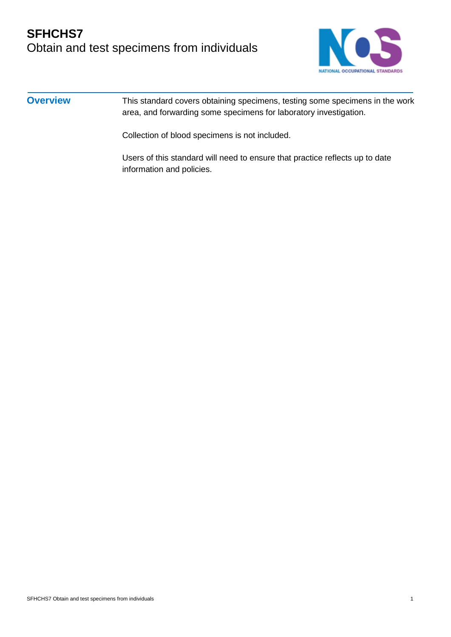# **SFHCHS7** Obtain and test specimens from individuals



#### **Overview** This standard covers obtaining specimens, testing some specimens in the work area, and forwarding some specimens for laboratory investigation.

Collection of blood specimens is not included.

Users of this standard will need to ensure that practice reflects up to date information and policies.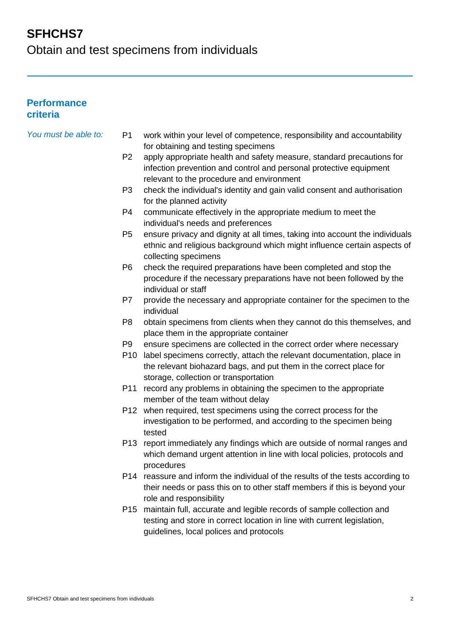Obtain and test specimens from individuals

#### **Performance criteria**

| You must be able to: | P <sub>1</sub> | work within your level of competence, responsibility and accountability                              |
|----------------------|----------------|------------------------------------------------------------------------------------------------------|
|                      | P <sub>2</sub> | for obtaining and testing specimens                                                                  |
|                      |                | apply appropriate health and safety measure, standard precautions for                                |
|                      |                | infection prevention and control and personal protective equipment                                   |
|                      |                | relevant to the procedure and environment                                                            |
|                      | P <sub>3</sub> | check the individual's identity and gain valid consent and authorisation<br>for the planned activity |
|                      | P4             | communicate effectively in the appropriate medium to meet the                                        |
|                      |                | individual's needs and preferences                                                                   |
|                      | P <sub>5</sub> | ensure privacy and dignity at all times, taking into account the individuals                         |
|                      |                | ethnic and religious background which might influence certain aspects of<br>collecting specimens     |
|                      | P <sub>6</sub> | check the required preparations have been completed and stop the                                     |
|                      |                | procedure if the necessary preparations have not been followed by the<br>individual or staff         |
|                      | P7             | provide the necessary and appropriate container for the specimen to the                              |
|                      |                | individual                                                                                           |
|                      | P <sub>8</sub> | obtain specimens from clients when they cannot do this themselves, and                               |
|                      |                | place them in the appropriate container                                                              |
|                      | P <sub>9</sub> | ensure specimens are collected in the correct order where necessary                                  |
|                      | P10            | label specimens correctly, attach the relevant documentation, place in                               |
|                      |                | the relevant biohazard bags, and put them in the correct place for                                   |
|                      |                | storage, collection or transportation                                                                |
|                      | P11            | record any problems in obtaining the specimen to the appropriate<br>member of the team without delay |
|                      |                | P12 when required, test specimens using the correct process for the                                  |
|                      |                | investigation to be performed, and according to the specimen being<br>tested                         |
|                      | P13            | report immediately any findings which are outside of normal ranges and                               |
|                      |                | which demand urgent attention in line with local policies, protocols and                             |
|                      |                | procedures                                                                                           |
|                      |                | P14 reassure and inform the individual of the results of the tests according to                      |
|                      |                | their needs or pass this on to other staff members if this is beyond your<br>role and responsibility |
|                      |                | P15 maintain full, accurate and legible records of sample collection and                             |
|                      |                | testing and store in correct location in line with current legislation,                              |
|                      |                | guidelines, local polices and protocols                                                              |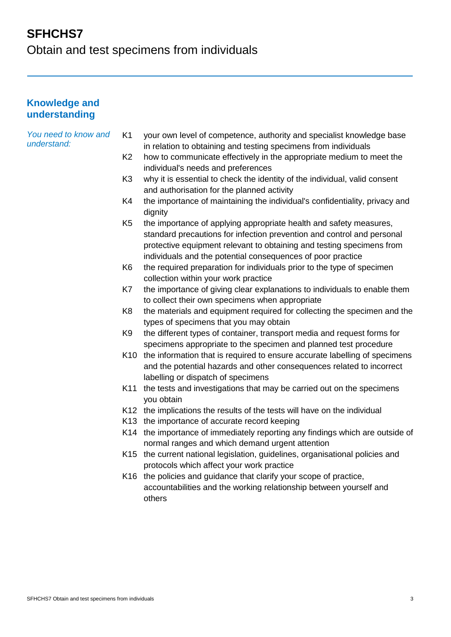Obtain and test specimens from individuals

#### **Knowledge and understanding**

*You need to know and understand:*

- K1 your own level of competence, authority and specialist knowledge base in relation to obtaining and testing specimens from individuals
- K2 how to communicate effectively in the appropriate medium to meet the individual's needs and preferences
- K3 why it is essential to check the identity of the individual, valid consent and authorisation for the planned activity
- K4 the importance of maintaining the individual's confidentiality, privacy and dianity
- K5 the importance of applying appropriate health and safety measures, standard precautions for infection prevention and control and personal protective equipment relevant to obtaining and testing specimens from individuals and the potential consequences of poor practice
- K6 the required preparation for individuals prior to the type of specimen collection within your work practice
- K7 the importance of giving clear explanations to individuals to enable them to collect their own specimens when appropriate
- K8 the materials and equipment required for collecting the specimen and the types of specimens that you may obtain
- K9 the different types of container, transport media and request forms for specimens appropriate to the specimen and planned test procedure
- K10 the information that is required to ensure accurate labelling of specimens and the potential hazards and other consequences related to incorrect labelling or dispatch of specimens
- K11 the tests and investigations that may be carried out on the specimens you obtain
- K12 the implications the results of the tests will have on the individual
- K13 the importance of accurate record keeping
- K14 the importance of immediately reporting any findings which are outside of normal ranges and which demand urgent attention
- K15 the current national legislation, guidelines, organisational policies and protocols which affect your work practice
- K16 the policies and guidance that clarify your scope of practice, accountabilities and the working relationship between yourself and others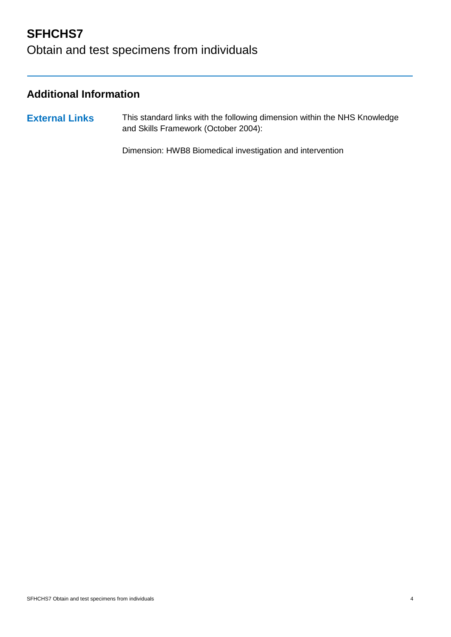# Obtain and test specimens from individuals

### **Additional Information**

**External Links** This standard links with the following dimension within the NHS Knowledge and Skills Framework (October 2004):

Dimension: HWB8 Biomedical investigation and intervention